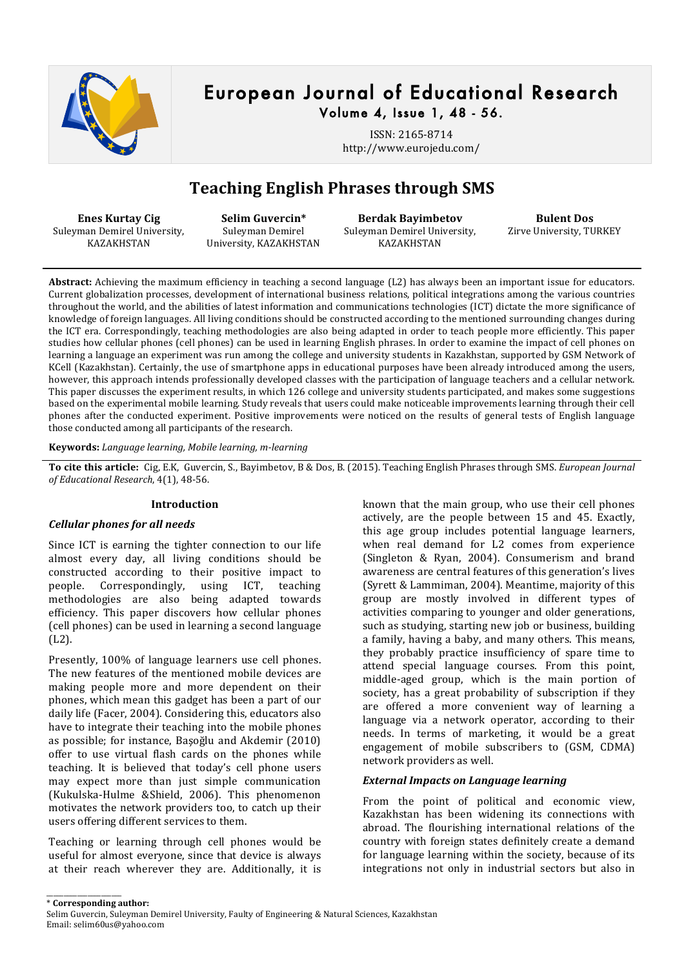

## European Journal of Educational Research Volume 4, Issue 1, 48 - 56.

ISSN: 2165-8714 http://www.eurojedu.com/

# **Teaching English Phrases through SMS**

**Enes Kurtay Cig** Suleyman Demirel University, KAZAKHSTAN

Selim Guvercin\* Suleyman Demirel University, KAZAKHSTAN

**Berdak)Bayimbetov** Suleyman Demirel University, KAZAKHSTAN

**Bulent Dos** Zirve University, TURKEY

Abstract: Achieving the maximum efficiency in teaching a second language (L2) has always been an important issue for educators. Current globalization processes, development of international business relations, political integrations among the various countries throughout the world, and the abilities of latest information and communications technologies (ICT) dictate the more significance of knowledge of foreign languages. All living conditions should be constructed according to the mentioned surrounding changes during the ICT era. Correspondingly, teaching methodologies are also being adapted in order to teach people more efficiently. This paper studies how cellular phones (cell phones) can be used in learning English phrases. In order to examine the impact of cell phones on learning a language an experiment was run among the college and university students in Kazakhstan, supported by GSM Network of KCell (Kazakhstan). Certainly, the use of smartphone apps in educational purposes have been already introduced among the users, however, this approach intends professionally developed classes with the participation of language teachers and a cellular network. This paper discusses the experiment results, in which 126 college and university students participated, and makes some suggestions based on the experimental mobile learning. Study reveals that users could make noticeable improvements learning through their cell phones after the conducted experiment. Positive improvements were noticed on the results of general tests of English language those conducted among all participants of the research.

**Keywords:** *Language learning, Mobile learning, m-learning* 

To cite this article: Cig, E.K, Guvercin, S., Bayimbetov, B & Dos, B. (2015). Teaching English Phrases through SMS. *European Journal* of Educational Research, 4(1), 48-56.

## **Introduction**

## *Cellular'phones'for'all'needs*

Since ICT is earning the tighter connection to our life. almost every day, all living conditions should be constructed according to their positive impact to people. Correspondingly, using ICT, teaching methodologies are also being adapted towards efficiency. This paper discovers how cellular phones (cell phones) can be used in learning a second language (L2).

Presently, 100% of language learners use cell phones. The new features of the mentioned mobile devices are making people more and more dependent on their phones, which mean this gadget has been a part of our daily life (Facer, 2004). Considering this, educators also have to integrate their teaching into the mobile phones as possible; for instance, Başoğlu and Akdemir (2010). offer to use virtual flash cards on the phones while teaching. It is believed that today's cell phone users may expect more than just simple communication (Kukulska-Hulme &Shield, 2006). This phenomenon motivates the network providers too, to catch up their users offering different services to them.

Teaching or learning through cell phones would be useful for almost everyone, since that device is always at their reach wherever they are. Additionally, it is

\_\_\_\_\_\_\_\_\_\_\_\_\_\_\_\_\_\_\_\_\_\_

known that the main group, who use their cell phones actively, are the people between 15 and 45. Exactly, this age group includes potential language learners, when real demand for L2 comes from experience (Singleton & Ryan, 2004). Consumerism and brand awareness are central features of this generation's lives (Syrett & Lammiman, 2004). Meantime, majority of this group are mostly involved in different types of activities comparing to vounger and older generations, such as studying, starting new job or business, building a family, having a baby, and many others. This means, they probably practice insufficiency of spare time to attend special language courses. From this point, middle-aged group, which is the main portion of society, has a great probability of subscription if they are offered a more convenient way of learning a language via a network operator, according to their needs. In terms of marketing, it would be a great engagement of mobile subscribers to (GSM, CDMA) network providers as well.

## *External'Impacts'on'Language'learning*

From the point of political and economic view, Kazakhstan has been widening its connections with abroad. The flourishing international relations of the country with foreign states definitely create a demand for language learning within the society, because of its integrations not only in industrial sectors but also in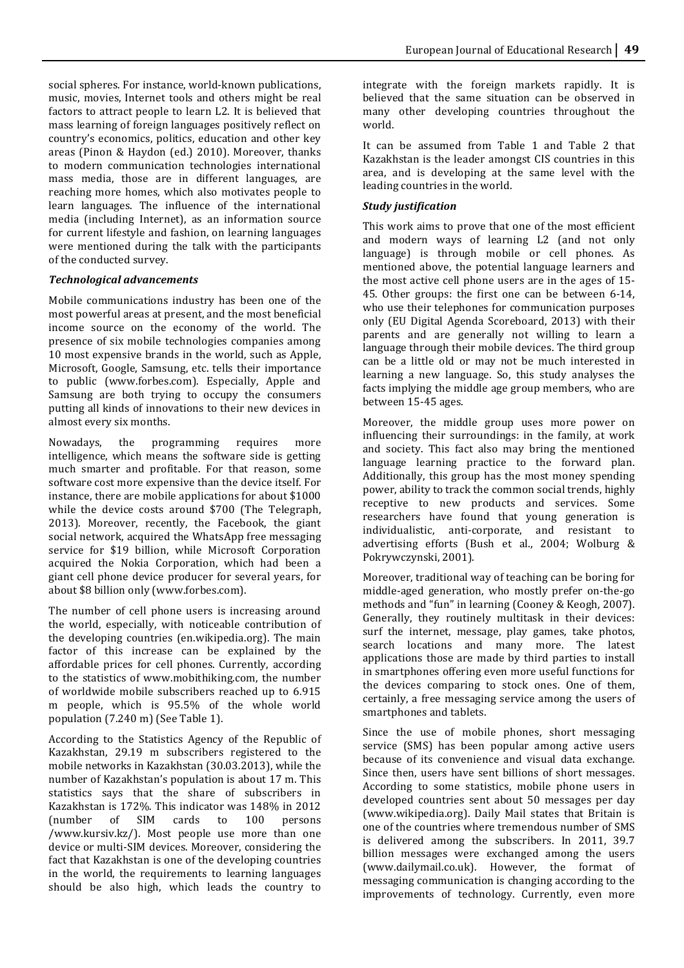social spheres. For instance, world-known publications, music, movies, Internet tools and others might be real factors to attract people to learn L2. It is believed that mass learning of foreign languages positively reflect on country's economics, politics, education and other key areas (Pinon & Haydon (ed.) 2010). Moreover, thanks to modern communication technologies international mass media, those are in different languages, are reaching more homes, which also motivates people to learn languages. The influence of the international media (including Internet), as an information source for current lifestyle and fashion, on learning languages were mentioned during the talk with the participants of the conducted survey.

## *Technological'advancements*

Mobile communications industry has been one of the most powerful areas at present, and the most beneficial income source on the economy of the world. The presence of six mobile technologies companies among 10 most expensive brands in the world, such as Apple, Microsoft, Google, Samsung, etc. tells their importance to public (www.forbes.com). Especially, Apple and Samsung are both trying to occupy the consumers putting all kinds of innovations to their new devices in almost every six months.

Nowadays, the programming requires more intelligence, which means the software side is getting much smarter and profitable. For that reason, some software cost more expensive than the device itself. For instance, there are mobile applications for about \$1000 while the device costs around \$700 (The Telegraph, 2013). Moreover, recently, the Facebook, the giant social network, acquired the WhatsApp free messaging service for \$19 billion, while Microsoft Corporation acquired the Nokia Corporation, which had been a giant cell phone device producer for several years, for about \$8 billion only (www.forbes.com).

The number of cell phone users is increasing around the world, especially, with noticeable contribution of the developing countries (en.wikipedia.org). The main factor of this increase can be explained by the affordable prices for cell phones. Currently, according to the statistics of www.mobithiking.com, the number of worldwide mobile subscribers reached up to 6.915 m people, which is 95.5% of the whole world population (7.240 m) (See Table 1).

According to the Statistics Agency of the Republic of Kazakhstan, 29.19 m subscribers registered to the mobile networks in Kazakhstan (30.03.2013), while the number of Kazakhstan's population is about 17 m. This statistics says that the share of subscribers in Kazakhstan is 172%. This indicator was 148% in 2012 (number of SIM cards to 100 persons /www.kursiv.kz/). Most people use more than one device or multi-SIM devices. Moreover, considering the fact that Kazakhstan is one of the developing countries in the world, the requirements to learning languages should be also high, which leads the country to integrate with the foreign markets rapidly. It is believed that the same situation can be observed in many other developing countries throughout the world.

It can be assumed from Table 1 and Table 2 that Kazakhstan is the leader amongst CIS countries in this area, and is developing at the same level with the leading countries in the world.

## *Study'justification*

This work aims to prove that one of the most efficient and modern ways of learning L2 (and not only language) is through mobile or cell phones. As mentioned above, the potential language learners and the most active cell phone users are in the ages of 15-45. Other groups: the first one can be between 6-14, who use their telephones for communication purposes only (EU Digital Agenda Scoreboard, 2013) with their parents and are generally not willing to learn a language through their mobile devices. The third group can be a little old or may not be much interested in learning a new language. So, this study analyses the facts implying the middle age group members, who are between 15-45 ages.

Moreover, the middle group uses more power on influencing their surroundings: in the family, at work and society. This fact also may bring the mentioned language learning practice to the forward plan. Additionally, this group has the most money spending power, ability to track the common social trends, highly receptive to new products and services. Some researchers have found that young generation is individualistic, anti-corporate, and resistant to advertising efforts (Bush et al., 2004; Wolburg & Pokrywczynski, 2001).

Moreover, traditional way of teaching can be boring for middle-aged generation, who mostly prefer on-the-go methods and "fun" in learning (Cooney & Keogh, 2007). Generally, they routinely multitask in their devices: surf the internet, message, play games, take photos, search locations and many more. The latest applications those are made by third parties to install in smartphones offering even more useful functions for the devices comparing to stock ones. One of them, certainly, a free messaging service among the users of smartphones and tablets.

Since the use of mobile phones, short messaging service (SMS) has been popular among active users because of its convenience and visual data exchange. Since then, users have sent billions of short messages. According to some statistics, mobile phone users in developed countries sent about 50 messages per day (www.wikipedia.org). Daily Mail states that Britain is one of the countries where tremendous number of SMS is delivered among the subscribers. In 2011, 39.7 billion messages were exchanged among the users (www.dailymail.co.uk). However, the format of messaging communication is changing according to the improvements of technology. Currently, even more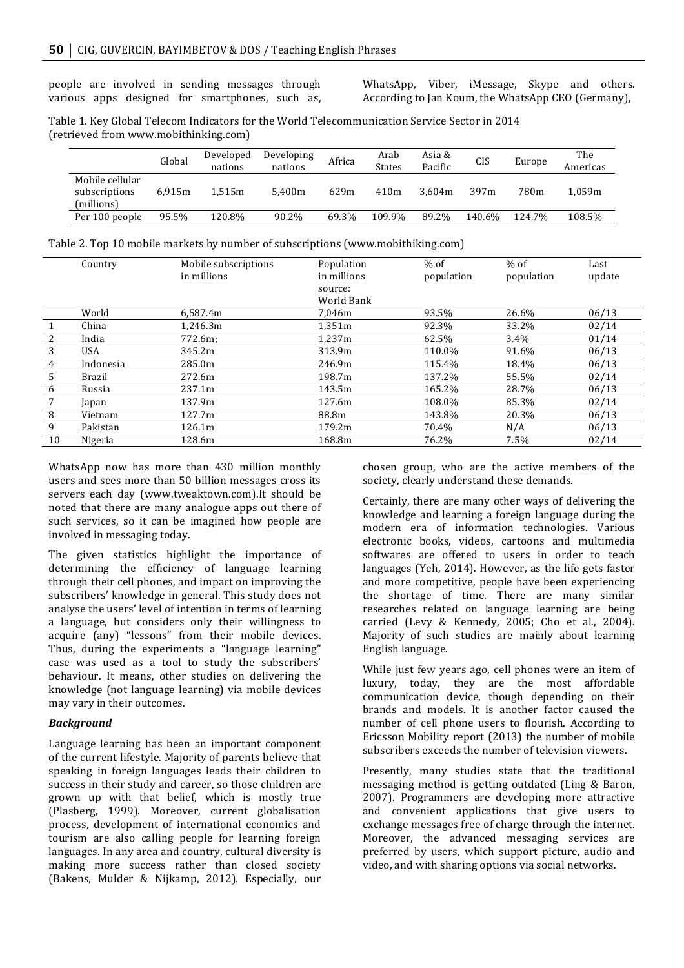people are involved in sending messages through various apps designed for smartphones, such as, WhatsApp, Viber, iMessage, Skype and others. According to Jan Koum, the WhatsApp CEO (Germany),

Table 1. Key Global Telecom Indicators for the World Telecommunication Service Sector in 2014 (retrieved from www.mobithinking.com)

|                                                | Global | Developed<br>nations | Developing<br>nations | Africa | Arab<br>States | Asia &<br>Pacific | CIS    | Europe | The<br>Americas |
|------------------------------------------------|--------|----------------------|-----------------------|--------|----------------|-------------------|--------|--------|-----------------|
| Mobile cellular<br>subscriptions<br>(millions) | 6.915m | 1.515m               | 5.400m                | 629m   | 410m           | 3.604m            | 397m   | 780m   | 1.059m          |
| Per 100 people                                 | 95.5%  | 120.8%               | 90.2%                 | 69.3%  | 109.9%         | 89.2%             | 140.6% | 124.7% | 108.5%          |

|  | Table 2. Top 10 mobile markets by number of subscriptions (www.mobithiking.com) |
|--|---------------------------------------------------------------------------------|
|  |                                                                                 |

|    | Country       | Mobile subscriptions<br>in millions | Population<br>in millions<br>source:<br>World Bank | $%$ of<br>population | $%$ of<br>population | Last<br>update |
|----|---------------|-------------------------------------|----------------------------------------------------|----------------------|----------------------|----------------|
|    | World         | 6.587.4m                            | 7.046m                                             | 93.5%                | 26.6%                | 06/13          |
|    | China         | 1,246.3m                            | 1.351m                                             | 92.3%                | 33.2%                | 02/14          |
| 2  | India         | 772.6m;                             | 1.237m                                             | 62.5%                | $3.4\%$              | 01/14          |
| 3  | <b>USA</b>    | 345.2m                              | 313.9m                                             | 110.0%               | 91.6%                | 06/13          |
| 4  | Indonesia     | 285.0m                              | 246.9m                                             | 115.4%               | 18.4%                | 06/13          |
| 5  | <b>Brazil</b> | 272.6m                              | 198.7m                                             | 137.2%               | 55.5%                | 02/14          |
| 6  | Russia        | 237.1m                              | 143.5m                                             | 165.2%               | 28.7%                | 06/13          |
| 7  | Japan         | 137.9m                              | 127.6m                                             | 108.0%               | 85.3%                | 02/14          |
| 8  | Vietnam       | 127.7m                              | 88.8m                                              | 143.8%               | 20.3%                | 06/13          |
| 9  | Pakistan      | 126.1m                              | 179.2m                                             | 70.4%                | N/A                  | 06/13          |
| 10 | Nigeria       | 128.6m                              | 168.8m                                             | 76.2%                | 7.5%                 | 02/14          |

WhatsApp now has more than 430 million monthly users and sees more than 50 billion messages cross its servers each day (www.tweaktown.com).It should be noted that there are many analogue apps out there of such services, so it can be imagined how people are involved in messaging today.

The given statistics highlight the importance of determining the efficiency of language learning through their cell phones, and impact on improving the subscribers' knowledge in general. This study does not analyse the users' level of intention in terms of learning a language, but considers only their willingness to acquire (any) "lessons" from their mobile devices. Thus, during the experiments a "language learning" case was used as a tool to study the subscribers' behaviour. It means, other studies on delivering the knowledge (not language learning) via mobile devices may vary in their outcomes.

## *Background*

Language learning has been an important component of the current lifestyle. Majority of parents believe that speaking in foreign languages leads their children to success in their study and career, so those children are grown up with that belief, which is mostly true (Plasberg, 1999). Moreover, current globalisation process, development of international economics and tourism are also calling people for learning foreign languages. In any area and country, cultural diversity is making more success rather than closed society (Bakens, Mulder & Nijkamp, 2012). Especially, our

chosen group, who are the active members of the society, clearly understand these demands.

Certainly, there are many other ways of delivering the knowledge and learning a foreign language during the modern era of information technologies. Various electronic books, videos, cartoons and multimedia softwares are offered to users in order to teach languages (Yeh, 2014). However, as the life gets faster and more competitive, people have been experiencing the shortage of time. There are many similar researches related on language learning are being carried (Levy & Kennedy, 2005; Cho et al., 2004). Majority of such studies are mainly about learning English!language.

While just few years ago, cell phones were an item of luxury, today, they are the most affordable communication device, though depending on their brands and models. It is another factor caused the number of cell phone users to flourish. According to Ericsson Mobility report (2013) the number of mobile subscribers exceeds the number of television viewers.

Presently, many studies state that the traditional messaging method is getting outdated (Ling & Baron, 2007). Programmers are developing more attractive and convenient applications that give users to exchange messages free of charge through the internet. Moreover, the advanced messaging services are preferred by users, which support picture, audio and video, and with sharing options via social networks.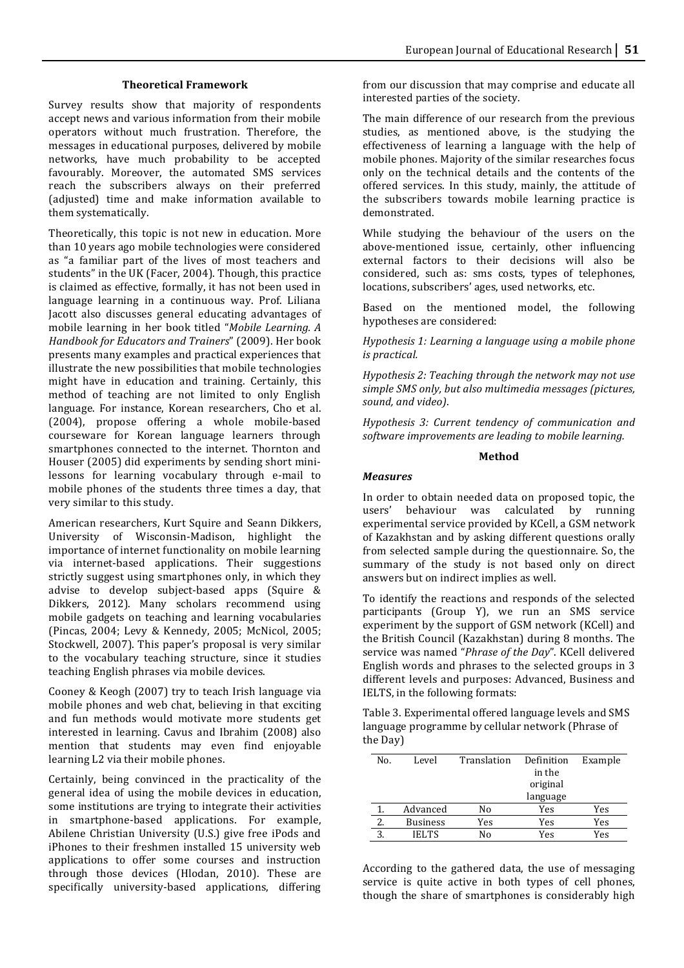## **Theoretical)Framework**

Survey results show that majority of respondents accept news and various information from their mobile operators without much frustration. Therefore, the messages in educational purposes, delivered by mobile networks, have much probability to be accepted favourably. Moreover, the automated SMS services reach the subscribers always on their preferred (adjusted) time and make information available to them systematically.

Theoretically, this topic is not new in education. More than 10 years ago mobile technologies were considered as "a familiar part of the lives of most teachers and students" in the UK (Facer, 2004). Though, this practice is claimed as effective, formally, it has not been used in language learning in a continuous way. Prof. Liliana Jacott also discusses general educating advantages of mobile learning in her book titled "Mobile Learning. A *Handbook for Educators and Trainers"* (2009). Her book presents many examples and practical experiences that illustrate the new possibilities that mobile technologies might have in education and training. Certainly, this method of teaching are not limited to only English language. For instance, Korean researchers, Cho et al.  $(2004)$ , propose offering a whole mobile-based courseware for Korean language learners through smartphones connected to the internet. Thornton and Houser (2005) did experiments by sending short minilessons for learning vocabulary through e-mail to mobile phones of the students three times a day, that very similar to this study.

American researchers, Kurt Squire and Seann Dikkers, University of Wisconsin-Madison, highlight the importance of internet functionality on mobile learning via internet-based applications. Their suggestions strictly suggest using smartphones only, in which they advise to develop subject-based apps (Squire & Dikkers, 2012). Many scholars recommend using mobile gadgets on teaching and learning vocabularies (Pincas, 2004; Levy & Kennedy, 2005; McNicol, 2005; Stockwell, 2007). This paper's proposal is very similar to the vocabulary teaching structure, since it studies teaching English phrases via mobile devices.

Cooney & Keogh (2007) try to teach Irish language via mobile phones and web chat, believing in that exciting and fun methods would motivate more students get interested in learning. Cavus and Ibrahim (2008) also mention that students may even find enjoyable learning L2 via their mobile phones.

Certainly, being convinced in the practicality of the general idea of using the mobile devices in education, some institutions are trying to integrate their activities in smartphone-based applications. For example, Abilene Christian University (U.S.) give free iPods and iPhones to their freshmen installed 15 university web applications to offer some courses and instruction through those devices (Hlodan, 2010). These are specifically university-based applications, differing from our discussion that may comprise and educate all interested parties of the society.

The main difference of our research from the previous studies, as mentioned above, is the studying the effectiveness of learning a language with the help of mobile phones. Majority of the similar researches focus only on the technical details and the contents of the offered services. In this study, mainly, the attitude of the subscribers towards mobile learning practice is demonstrated.

While studying the behaviour of the users on the above-mentioned issue, certainly, other influencing external factors to their decisions will also be considered, such as: sms costs, types of telephones, locations, subscribers' ages, used networks, etc.

Based on the mentioned model, the following hypotheses are considered:

*Hypothesis 1: Learning a language using a mobile phone is practical.* 

*Hypothesis 2: Teaching through the network may not use* simple SMS only, but also multimedia messages (pictures, *sound,!and!video)*.

*Hypothesis 3: Current tendency of communication and* software improvements are leading to mobile learning.

#### **Method**

#### *Measures*

In order to obtain needed data on proposed topic, the users' behaviour was calculated by running experimental service provided by KCell, a GSM network of Kazakhstan and by asking different questions orally from selected sample during the questionnaire. So, the summary of the study is not based only on direct answers but on indirect implies as well.

To identify the reactions and responds of the selected participants (Group Y), we run an SMS service experiment by the support of GSM network (KCell) and the British Council (Kazakhstan) during 8 months. The service was named "Phrase of the Day". KCell delivered English words and phrases to the selected groups in 3 different levels and purposes: Advanced, Business and IELTS, in the following formats:

Table 3. Experimental offered language levels and SMS language programme by cellular network (Phrase of the Day)

| No. | Level           | Translation | Definition | Example |
|-----|-----------------|-------------|------------|---------|
|     |                 |             | in the     |         |
|     |                 |             | original   |         |
|     |                 |             | language   |         |
|     | Advanced        | No          | Yes        | Yes     |
| 2.  | <b>Business</b> | Yes         | Yes        | Yes     |
| 3   | <b>IELTS</b>    | N٥          | Yes        | Yes     |

According to the gathered data, the use of messaging service is quite active in both types of cell phones, though the share of smartphones is considerably high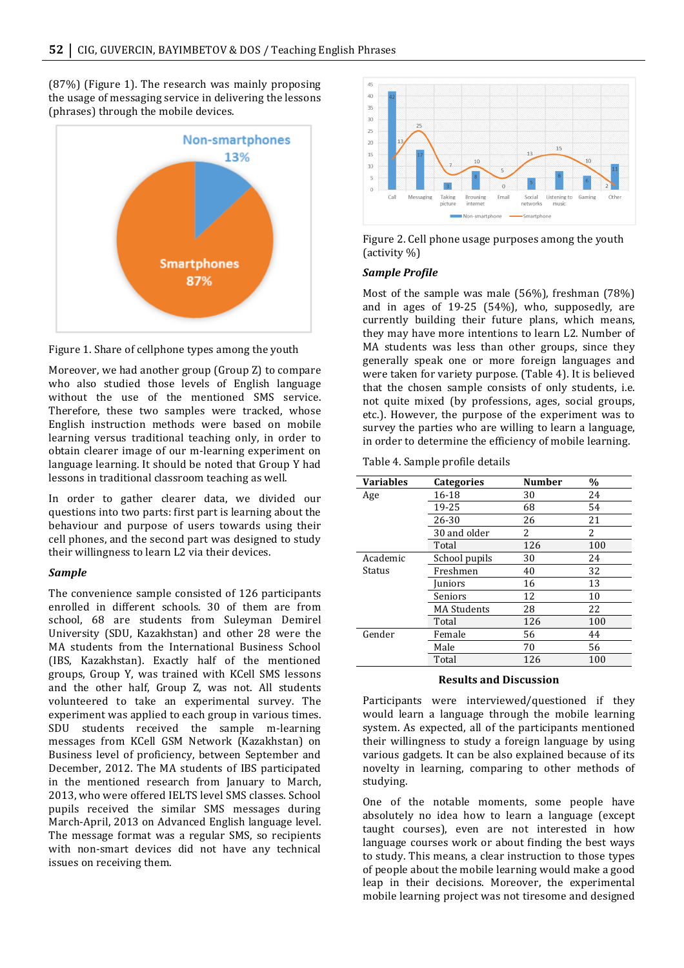$(87%)$  (Figure 1). The research was mainly proposing the usage of messaging service in delivering the lessons (phrases) through the mobile devices.





Moreover, we had another group (Group Z) to compare who also studied those levels of English language without the use of the mentioned SMS service. Therefore, these two samples were tracked, whose English instruction methods were based on mobile learning versus traditional teaching only, in order to obtain clearer image of our m-learning experiment on language learning. It should be noted that Group Y had lessons in traditional classroom teaching as well.

In order to gather clearer data, we divided our questions into two parts: first part is learning about the behaviour and purpose of users towards using their cell phones, and the second part was designed to study their willingness to learn L2 via their devices.

## *Sample*

The convenience sample consisted of 126 participants enrolled in different schools. 30 of them are from school, 68 are students from Suleyman Demirel University (SDU, Kazakhstan) and other 28 were the MA students from the International Business School (IBS, Kazakhstan). Exactly half of the mentioned groups, Group Y, was trained with KCell SMS lessons and the other half, Group Z, was not. All students volunteered to take an experimental survey. The experiment was applied to each group in various times. SDU students received the sample m-learning messages from KCell GSM Network (Kazakhstan) on Business level of proficiency, between September and December, 2012. The MA students of IBS participated in the mentioned research from January to March, 2013, who were offered IELTS level SMS classes. School pupils received the similar SMS messages during March-April, 2013 on Advanced English language level. The message format was a regular SMS, so recipients with non-smart devices did not have any technical issues on receiving them.



Figure 2. Cell phone usage purposes among the youth (activity %)

## *Sample'Profile*

Most of the sample was male  $(56%)$ , freshman  $(78%)$ and in ages of  $19-25$  (54%), who, supposedly, are currently building their future plans, which means, they may have more intentions to learn L2. Number of MA students was less than other groups, since they generally speak one or more foreign languages and were taken for variety purpose. (Table 4). It is believed that the chosen sample consists of only students, i.e. not quite mixed (by professions, ages, social groups, etc.). However, the purpose of the experiment was to survey the parties who are willing to learn a language, in order to determine the efficiency of mobile learning.

Table 4. Sample profile details

| <b>Variables</b> | <b>Categories</b>  | <b>Number</b> | $\frac{0}{0}$ |
|------------------|--------------------|---------------|---------------|
| Age              | 16-18              | 30            | 24            |
|                  | 19-25              | 68            | 54            |
|                  | 26-30              | 26            | 21            |
|                  | 30 and older       | 2             | 2             |
|                  | Total              | 126           | 100           |
| Academic         | School pupils      | 30            | 24            |
| Status           | Freshmen           | 40            | 32            |
|                  | Juniors            | 16            | 13            |
|                  | Seniors            | 12            | 10            |
|                  | <b>MA Students</b> | 28            | 22            |
|                  | Total              | 126           | 100           |
| Gender           | Female             | 56            | 44            |
|                  | Male               | 70            | 56            |
|                  | Total              | 126           | 100           |

#### **Results)and)Discussion**

Participants were interviewed/questioned if they would learn a language through the mobile learning system. As expected, all of the participants mentioned their willingness to study a foreign language by using various gadgets. It can be also explained because of its novelty in learning, comparing to other methods of studying.

One of the notable moments, some people have absolutely no idea how to learn a language (except taught courses), even are not interested in how language courses work or about finding the best ways to study. This means, a clear instruction to those types of people about the mobile learning would make a good leap in their decisions. Moreover, the experimental mobile learning project was not tiresome and designed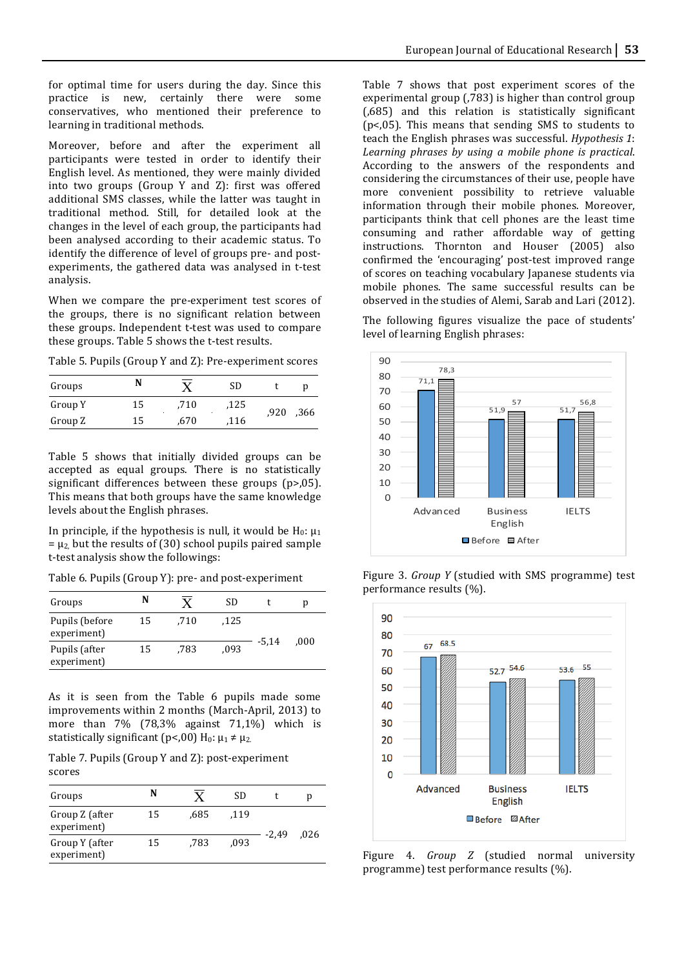for optimal time for users during the day. Since this practice is new, certainly there were some conservatives, who mentioned their preference to learning in traditional methods.

Moreover, before and after the experiment all participants were tested in order to identify their English level. As mentioned, they were mainly divided into two groups (Group Y and Z): first was offered additional SMS classes, while the latter was taught in traditional method. Still, for detailed look at the changes in the level of each group, the participants had been analysed according to their academic status. To identify the difference of level of groups pre- and postexperiments, the gathered data was analysed in t-test analysis.

When we compare the pre-experiment test scores of the groups, there is no significant relation between these groups. Independent t-test was used to compare these groups. Table 5 shows the t-test results.

Table 5. Pupils (Group Y and Z): Pre-experiment scores

| Groups  |    | $\overline{\mathbf{v}}$ | SD   |      | U    |
|---------|----|-------------------------|------|------|------|
| Group Y | 15 | .710                    | ,125 |      | ,366 |
| Group Z | 15 | .670                    | ,116 | ,920 |      |

Table 5 shows that initially divided groups can be accepted as equal groups. There is no statistically significant differences between these groups ( $p$ >,05). This means that both groups have the same knowledge levels about the English phrases.

In principle, if the hypothesis is null, it would be  $H_0: \mu_1$  $= \mu_2$  but the results of (30) school pupils paired sample t-test analysis show the followings:

Table 6. Pupils (Group Y): pre- and post-experiment

| Groups                        | N  |      | SD   |         | n    |
|-------------------------------|----|------|------|---------|------|
| Pupils (before<br>experiment) | 15 | .710 | .125 | $-5.14$ |      |
| Pupils (after<br>experiment)  | 15 | .783 | .093 |         | .000 |

As it is seen from the Table 6 pupils made some improvements within 2 months (March-April, 2013) to more than  $7\%$  (78,3% against 71,1%) which is statistically significant (p<,00)  $H_0: \mu_1 \neq \mu_2$ .

Table 7. Pupils (Group Y and Z): post-experiment scores

| Groups                        | N  |      | SD   |       |      |
|-------------------------------|----|------|------|-------|------|
| Group Z (after<br>experiment) | 15 | .685 | .119 | -2.49 | .026 |
| Group Y (after<br>experiment) | 15 | .783 | .093 |       |      |

Table 7 shows that post experiment scores of the experimental group (,783) is higher than control group  $(0.685)$  and this relation is statistically significant ( $p$ <, $05$ ). This means that sending SMS to students to teach the English phrases was successful. *Hypothesis 1*: Learning phrases by using a mobile phone is practical. According to the answers of the respondents and considering the circumstances of their use, people have more convenient possibility to retrieve valuable information through their mobile phones. Moreover, participants think that cell phones are the least time consuming and rather affordable way of getting instructions. Thornton and Houser (2005) also confirmed the 'encouraging' post-test improved range of scores on teaching vocabulary Japanese students via mobile phones. The same successful results can be observed in the studies of Alemi, Sarab and Lari (2012).

The following figures visualize the pace of students' level of learning English phrases:



Figure 3. *Group Y* (studied with SMS programme) test performance results (%).



Figure 4. *Group Z* (studied normal university programme) test performance results  $(\%).$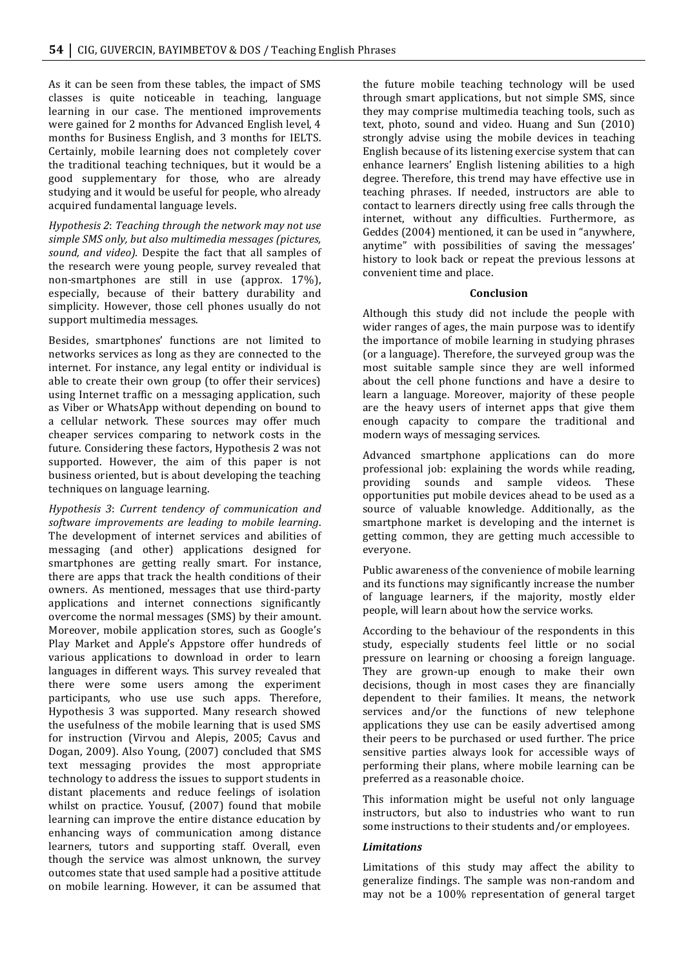As it can be seen from these tables, the impact of SMS classes is quite noticeable in teaching, language learning in our case. The mentioned improvements were gained for 2 months for Advanced English level, 4 months for Business English, and 3 months for IELTS. Certainly, mobile learning does not completely cover the traditional teaching techniques, but it would be a good supplementary for those, who are already studying and it would be useful for people, who already acquired fundamental language levels.

*Hypothesis 2: Teaching through the network may not use simple!SMS!only,!but!also!multimedia!messages!(pictures,!* sound, and video). Despite the fact that all samples of the research were young people, survey revealed that non-smartphones are still in use (approx. 17%), especially, because of their battery durability and simplicity. However, those cell phones usually do not support multimedia messages.

Besides, smartphones' functions are not limited to networks services as long as they are connected to the internet. For instance, any legal entity or individual is able to create their own group (to offer their services) using Internet traffic on a messaging application, such as Viber or WhatsApp without depending on bound to a cellular network. These sources may offer much cheaper services comparing to network costs in the future. Considering these factors, Hypothesis 2 was not supported. However, the aim of this paper is not business oriented, but is about developing the teaching techniques on language learning.

*Hypothesis 3: Current tendency of communication and* software improvements are leading to mobile learning. The development of internet services and abilities of messaging (and other) applications designed for smartphones are getting really smart. For instance, there are apps that track the health conditions of their owners. As mentioned, messages that use third-party applications and internet connections significantly overcome the normal messages (SMS) by their amount. Moreover, mobile application stores, such as Google's Play Market and Apple's Appstore offer hundreds of various applications to download in order to learn languages in different ways. This survey revealed that there were some users among the experiment participants, who use use such apps. Therefore, Hypothesis 3 was supported. Many research showed the usefulness of the mobile learning that is used SMS for instruction (Virvou and Alepis, 2005; Cavus and Dogan, 2009). Also Young, (2007) concluded that SMS text messaging provides the most appropriate technology to address the issues to support students in distant placements and reduce feelings of isolation whilst on practice. Yousuf, (2007) found that mobile learning can improve the entire distance education by enhancing ways of communication among distance learners, tutors and supporting staff. Overall, even though the service was almost unknown, the survey outcomes state that used sample had a positive attitude on mobile learning. However, it can be assumed that the future mobile teaching technology will be used through smart applications, but not simple SMS, since they may comprise multimedia teaching tools, such as text, photo, sound and video. Huang and Sun (2010) strongly advise using the mobile devices in teaching English because of its listening exercise system that can enhance learners' English listening abilities to a high degree. Therefore, this trend may have effective use in teaching phrases. If needed, instructors are able to contact to learners directly using free calls through the internet, without any difficulties. Furthermore, as Geddes (2004) mentioned, it can be used in "anywhere, anytime" with possibilities of saving the messages' history to look back or repeat the previous lessons at convenient time and place.

#### **Conclusion**

Although this study did not include the people with wider ranges of ages, the main purpose was to identify the importance of mobile learning in studying phrases (or a language). Therefore, the surveyed group was the most suitable sample since they are well informed about the cell phone functions and have a desire to learn a language. Moreover, majority of these people are the heavy users of internet apps that give them enough capacity to compare the traditional and modern ways of messaging services.

Advanced smartphone applications can do more professional job: explaining the words while reading, providing sounds and sample videos. These opportunities put mobile devices ahead to be used as a source of valuable knowledge. Additionally, as the smartphone market is developing and the internet is getting common, they are getting much accessible to everyone.

Public awareness of the convenience of mobile learning and its functions may significantly increase the number of language learners, if the majority, mostly elder people, will learn about how the service works.

According to the behaviour of the respondents in this study, especially students feel little or no social pressure on learning or choosing a foreign language. They are grown-up enough to make their own decisions, though in most cases they are financially dependent to their families. It means, the network services and/or the functions of new telephone applications they use can be easily advertised among their peers to be purchased or used further. The price sensitive parties always look for accessible ways of performing their plans, where mobile learning can be preferred as a reasonable choice.

This information might be useful not only language instructors, but also to industries who want to run some instructions to their students and/or employees.

## *Limitations*

Limitations of this study may affect the ability to generalize findings. The sample was non-random and may not be a 100% representation of general target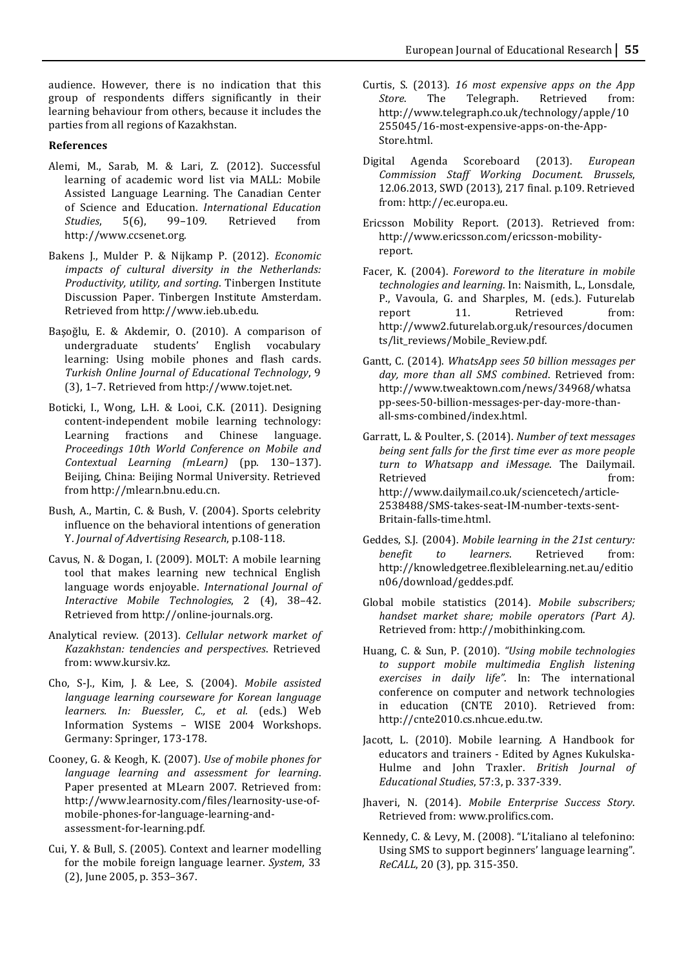audience. However, there is no indication that this group of respondents differs significantly in their learning behaviour from others, because it includes the parties from all regions of Kazakhstan.

## **References**

- Alemi, M., Sarab, M. & Lari, Z. (2012). Successful learning of academic word list via MALL: Mobile Assisted Language Learning. The Canadian Center of! Science! and! Education.! *International! Education! Studies*, 5(6), 99–109. Retrieved from http://www.ccsenet.org.
- Bakens J., Mulder P. & Nijkamp P. (2012). *Economic* impacts of cultural diversity in the Netherlands: *Productivity, utility, and sorting*. Tinbergen Institute Discussion Paper. Tinbergen Institute Amsterdam. Retrieved from http://www.ieb.ub.edu.
- Başoğlu, E. & Akdemir, O. (2010). A comparison of undergraduate students' English vocabulary learning: Using mobile phones and flash cards. *Turkish Online Journal of Educational Technology, 9*  $(3)$ , 1–7. Retrieved from http://www.tojet.net.
- Boticki, I., Wong, L.H. & Looi, C.K. (2011). Designing content-independent mobile learning technology: Learning fractions and Chinese language. *Proceedings! 10th! World! Conference! on! Mobile! and! Contextual Learning (mLearn)* (pp. 130-137). Beijing, China: Beijing Normal University. Retrieved from http://mlearn.bnu.edu.cn.
- Bush, A., Martin, C. & Bush, V. (2004). Sports celebrity influence on the behavioral intentions of generation Y. *Journal of Advertising Research*, p.108-118.
- Cavus, N. & Dogan, I. (2009). MOLT: A mobile learning tool that makes learning new technical English language words enjoyable. *International Journal of Interactive Mobile Technologies*, 2 (4), 38-42. Retrieved from http://online-journals.org.
- Analytical review. (2013). *Cellular network market of Kazakhstan:! tendencies! and! perspectives*.! Retrieved! from: www.kursiv.kz.
- Cho, S-J., Kim, J. & Lee, S. (2004). *Mobile assisted language learning courseware for Korean language learners. In: Buessler, C., et al.* (eds.) Web Information Systems - WISE 2004 Workshops. Germany: Springer, 173-178.
- Cooney, G. & Keogh, K. (2007). *Use of mobile phones for language learning and assessment for learning.* Paper presented at MLearn 2007. Retrieved from: http://www.learnosity.com/files/learnosity-use-ofmobile-phones-for-language-learning-andassessment-for-learning.pdf.
- Cui, Y. & Bull, S. (2005). Context and learner modelling for the mobile foreign language learner. *System*, 33 (2), June 2005, p. 353–367.
- Curtis, S. (2013). *16 most expensive apps on the App Store.* The Telegraph. Retrieved from: http://www.telegraph.co.uk/technology/apple/10 255045/16-most-expensive-apps-on-the-App-Store.html.
- Digital! Agenda! Scoreboard! (2013).! *European! Commission! Staff! Working! Document.! Brussels*,! 12.06.2013, SWD (2013), 217 final. p.109. Retrieved from: http://ec.europa.eu.
- Ericsson Mobility Report. (2013). Retrieved from: http://www.ericsson.com/ericsson-mobilityreport.
- Facer, K. (2004). *Foreword to the literature in mobile technologies and learning.* In: Naismith, L., Lonsdale, P., Vavoula, G. and Sharples, M. (eds.). Futurelab report 11. Retrieved from: http://www2.futurelab.org.uk/resources/documen ts/lit\_reviews/Mobile\_Review.pdf.
- Gantt, C. (2014). *WhatsApp sees 50 billion messages per* day, more than all SMS combined. Retrieved from: http://www.tweaktown.com/news/34968/whatsa pp-sees-50-billion-messages-per-day-more-thanall-sms-combined/index.html.
- Garratt, L. & Poulter, S. (2014). *Number of text messages being sent falls for the first time ever as more people turn! to! Whatsapp! and! iMessage*.! The! Dailymail.! Retrieved from: http://www.dailymail.co.uk/sciencetech/article\* 2538488/SMS-takes-seat-IM-number-texts-sent-Britain-falls-time.html.
- Geddes, S.J. (2004). *Mobile learning in the 21st century: benefit* to *learners*. Retrieved from: http://knowledgetree.flexiblelearning.net.au/editio n06/download/geddes.pdf.
- Global mobile statistics (2014). *Mobile subscribers; handset market share; mobile operators (Part A).* Retrieved from: http://mobithinking.com.
- Huang, C. & Sun, P. (2010). *"Using mobile technologies to! support! mobile! multimedia! English! listening!* exercises in daily life". In: The international conference on computer and network technologies in education (CNTE 2010). Retrieved from: http://cnte2010.cs.nhcue.edu.tw.
- Jacott, L. (2010). Mobile learning. A Handbook for educators and trainers - Edited by Agnes Kukulska-Hulme and John Traxler. *British Journal of Educational!Studies*,!57:3,!p.!337\*339.
- Jhaveri, N. (2014). *Mobile Enterprise Success Story*. Retrieved from: www.prolifics.com.
- Kennedy, C. & Levy, M. (2008). "L'italiano al telefonino: Using SMS to support beginners' language learning". *ReCALL*, 20 (3), pp. 315-350.